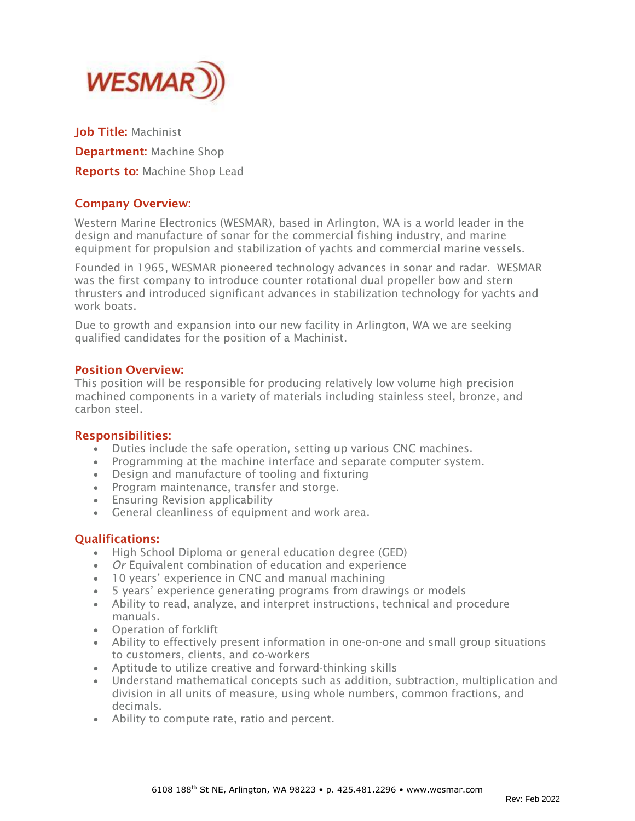

Job Title: Machinist **Department: Machine Shop** Reports to: Machine Shop Lead

# Company Overview:

Western Marine Electronics (WESMAR), based in Arlington, WA is a world leader in the design and manufacture of sonar for the commercial fishing industry, and marine equipment for propulsion and stabilization of yachts and commercial marine vessels.

Founded in 1965, WESMAR pioneered technology advances in sonar and radar. WESMAR was the first company to introduce counter rotational dual propeller bow and stern thrusters and introduced significant advances in stabilization technology for yachts and work boats.

Due to growth and expansion into our new facility in Arlington, WA we are seeking qualified candidates for the position of a Machinist.

## Position Overview:

This position will be responsible for producing relatively low volume high precision machined components in a variety of materials including stainless steel, bronze, and carbon steel.

#### Responsibilities:

- Duties include the safe operation, setting up various CNC machines.
- Programming at the machine interface and separate computer system.
- Design and manufacture of tooling and fixturing
- Program maintenance, transfer and storge.
- Ensuring Revision applicability
- General cleanliness of equipment and work area.

## Qualifications:

- High School Diploma or general education degree (GED)
- *Or* Equivalent combination of education and experience
- 10 years' experience in CNC and manual machining
- 5 years' experience generating programs from drawings or models
- Ability to read, analyze, and interpret instructions, technical and procedure manuals.
- Operation of forklift
- Ability to effectively present information in one-on-one and small group situations to customers, clients, and co-workers
- Aptitude to utilize creative and forward-thinking skills
- Understand mathematical concepts such as addition, subtraction, multiplication and division in all units of measure, using whole numbers, common fractions, and decimals.
- Ability to compute rate, ratio and percent.